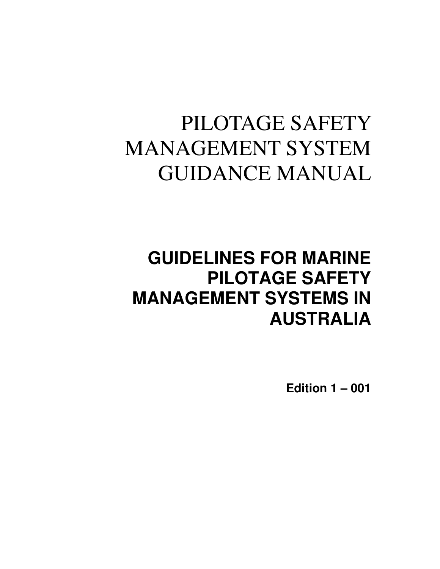# PILOTAGE SAFETY MANAGEMENT SYSTEM GUIDANCE MANUAL

# **GUIDELINES FOR MARINE PILOTAGE SAFETY MANAGEMENT SYSTEMS IN AUSTRALIA**

**Edition 1 – 001**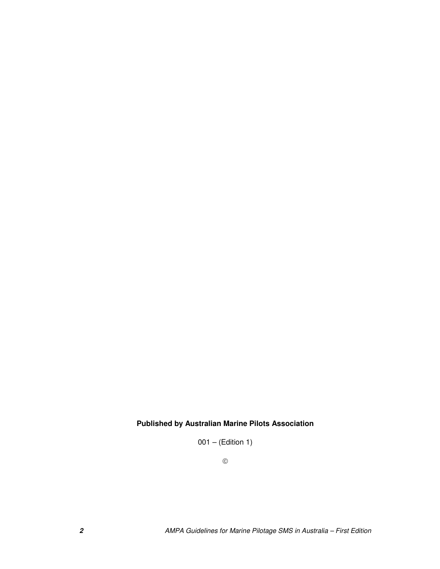### **Published by Australian Marine Pilots Association**

 $001 - (Edition 1)$ 

 $\copyright$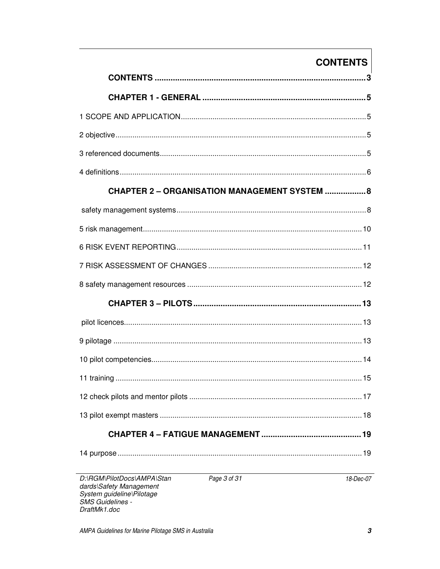## **CONTENTS**

| <b>CHAPTER 2 - ORGANISATION MANAGEMENT SYSTEM  8</b> |
|------------------------------------------------------|
|                                                      |
|                                                      |
|                                                      |
|                                                      |
|                                                      |
|                                                      |
|                                                      |
|                                                      |
|                                                      |
|                                                      |
|                                                      |
|                                                      |
|                                                      |
|                                                      |

D:\RGM\PilotDocs\AMPA\Stan dards\Safety Management<br>System guideline\Pilotage<br>SMS Guidelines -DraftMk1.doc

18-Dec-07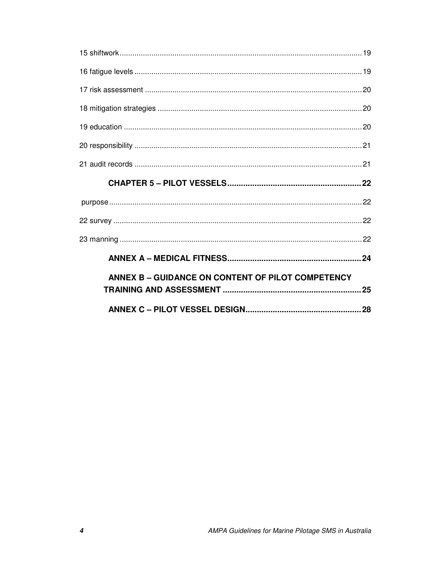| ANNEX B - GUIDANCE ON CONTENT OF PILOT COMPETENCY |  |
|---------------------------------------------------|--|
|                                                   |  |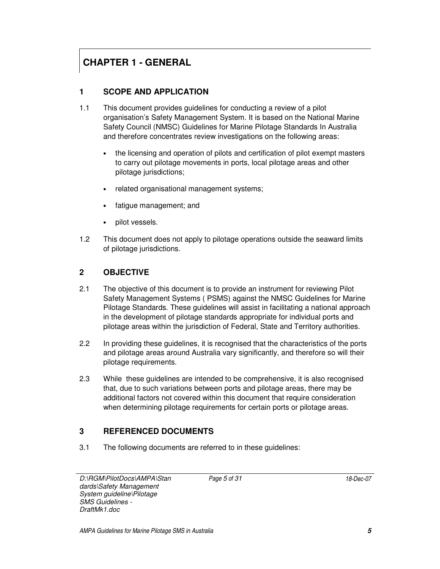## **CHAPTER 1 - GENERAL**

### **1 SCOPE AND APPLICATION**

- 1.1 This document provides guidelines for conducting a review of a pilot organisation's Safety Management System. It is based on the National Marine Safety Council (NMSC) Guidelines for Marine Pilotage Standards In Australia and therefore concentrates review investigations on the following areas:
	- the licensing and operation of pilots and certification of pilot exempt masters to carry out pilotage movements in ports, local pilotage areas and other pilotage jurisdictions;
	- related organisational management systems;
	- fatigue management; and
	- pilot vessels.
- 1.2 This document does not apply to pilotage operations outside the seaward limits of pilotage jurisdictions.

### **2 OBJECTIVE**

- 2.1 The objective of this document is to provide an instrument for reviewing Pilot Safety Management Systems ( PSMS) against the NMSC Guidelines for Marine Pilotage Standards. These guidelines will assist in facilitating a national approach in the development of pilotage standards appropriate for individual ports and pilotage areas within the jurisdiction of Federal, State and Territory authorities.
- 2.2 In providing these guidelines, it is recognised that the characteristics of the ports and pilotage areas around Australia vary significantly, and therefore so will their pilotage requirements.
- 2.3 While these guidelines are intended to be comprehensive, it is also recognised that, due to such variations between ports and pilotage areas, there may be additional factors not covered within this document that require consideration when determining pilotage requirements for certain ports or pilotage areas.

#### **3 REFERENCED DOCUMENTS**

3.1 The following documents are referred to in these guidelines: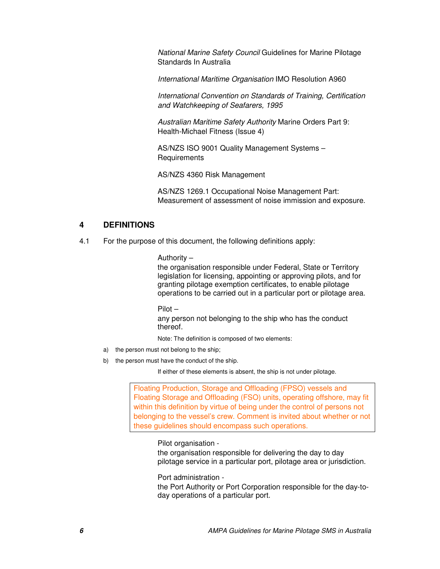National Marine Safety Council Guidelines for Marine Pilotage Standards In Australia

International Maritime Organisation IMO Resolution A960

International Convention on Standards of Training, Certification and Watchkeeping of Seafarers, 1995

Australian Maritime Safety Authority Marine Orders Part 9: Health-Michael Fitness (Issue 4)

AS/NZS ISO 9001 Quality Management Systems – **Requirements** 

AS/NZS 4360 Risk Management

AS/NZS 1269.1 Occupational Noise Management Part: Measurement of assessment of noise immission and exposure.

#### **4 DEFINITIONS**

4.1 For the purpose of this document, the following definitions apply:

#### Authority –

the organisation responsible under Federal, State or Territory legislation for licensing, appointing or approving pilots, and for granting pilotage exemption certificates, to enable pilotage operations to be carried out in a particular port or pilotage area.

Pilot –

any person not belonging to the ship who has the conduct thereof.

Note: The definition is composed of two elements:

- a) the person must not belong to the ship;
- b) the person must have the conduct of the ship.

If either of these elements is absent, the ship is not under pilotage.

Floating Production, Storage and Offloading (FPSO) vessels and Floating Storage and Offloading (FSO) units, operating offshore, may fit within this definition by virtue of being under the control of persons not belonging to the vessel's crew. Comment is invited about whether or not these guidelines should encompass such operations.

#### Pilot organisation -

the organisation responsible for delivering the day to day pilotage service in a particular port, pilotage area or jurisdiction.

Port administration -

the Port Authority or Port Corporation responsible for the day-today operations of a particular port.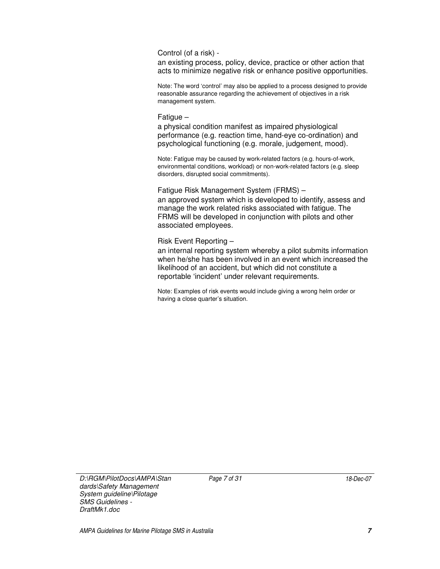Control (of a risk) -

an existing process, policy, device, practice or other action that acts to minimize negative risk or enhance positive opportunities.

Note: The word 'control' may also be applied to a process designed to provide reasonable assurance regarding the achievement of objectives in a risk management system.

#### Fatigue –

a physical condition manifest as impaired physiological performance (e.g. reaction time, hand-eye co-ordination) and psychological functioning (e.g. morale, judgement, mood).

Note: Fatigue may be caused by work-related factors (e.g. hours-of-work, environmental conditions, workload) or non-work-related factors (e.g. sleep disorders, disrupted social commitments).

Fatigue Risk Management System (FRMS) – an approved system which is developed to identify, assess and manage the work related risks associated with fatigue. The FRMS will be developed in conjunction with pilots and other associated employees.

#### Risk Event Reporting –

an internal reporting system whereby a pilot submits information when he/she has been involved in an event which increased the likelihood of an accident, but which did not constitute a reportable 'incident' under relevant requirements.

Note: Examples of risk events would include giving a wrong helm order or having a close quarter's situation.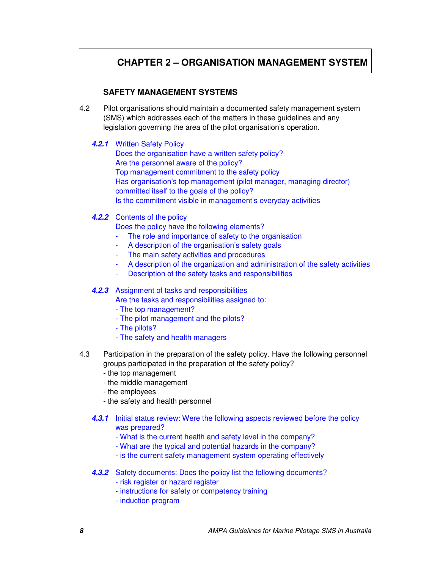### **CHAPTER 2 – ORGANISATION MANAGEMENT SYSTEM**

#### **SAFETY MANAGEMENT SYSTEMS**

4.2 Pilot organisations should maintain a documented safety management system (SMS) which addresses each of the matters in these guidelines and any legislation governing the area of the pilot organisation's operation.

**4.2.1** Written Safety Policy

Does the organisation have a written safety policy? Are the personnel aware of the policy? Top management commitment to the safety policy Has organisation's top management (pilot manager, managing director) committed itself to the goals of the policy? Is the commitment visible in management's everyday activities

#### **4.2.2** Contents of the policy

Does the policy have the following elements?

- The role and importance of safety to the organisation
- A description of the organisation's safety goals
- The main safety activities and procedures
- A description of the organization and administration of the safety activities
- Description of the safety tasks and responsibilities

#### **4.2.3** Assignment of tasks and responsibilities

Are the tasks and responsibilities assigned to:

- The top management?
- The pilot management and the pilots?
- The pilots?
- The safety and health managers
- 4.3 Participation in the preparation of the safety policy. Have the following personnel groups participated in the preparation of the safety policy?
	- the top management
	- the middle management
	- the employees
	- the safety and health personnel
	- **4.3.1** Initial status review: Were the following aspects reviewed before the policy was prepared?
		- What is the current health and safety level in the company?
		- What are the typical and potential hazards in the company?
		- is the current safety management system operating effectively
	- **4.3.2** Safety documents: Does the policy list the following documents?
		- risk register or hazard register
		- instructions for safety or competency training
		- induction program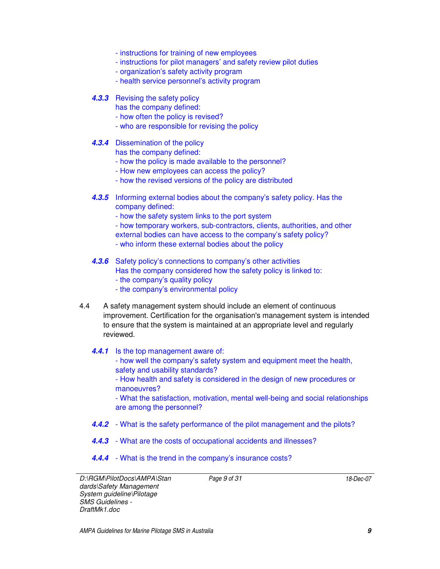- instructions for training of new employees
- instructions for pilot managers' and safety review pilot duties
- organization's safety activity program
- health service personnel's activity program

#### **4.3.3** Revising the safety policy

- has the company defined:
- how often the policy is revised?
- who are responsible for revising the policy

#### **4.3.4** Dissemination of the policy

has the company defined:

- how the policy is made available to the personnel?
- How new employees can access the policy?
- how the revised versions of the policy are distributed
- **4.3.5** Informing external bodies about the company's safety policy. Has the company defined:
	- how the safety system links to the port system
	- how temporary workers, sub-contractors, clients, authorities, and other
	- external bodies can have access to the company's safety policy?
	- who inform these external bodies about the policy

#### **4.3.6** Safety policy's connections to company's other activities

- Has the company considered how the safety policy is linked to:
- the company's quality policy
- the company's environmental policy
- 4.4 A safety management system should include an element of continuous improvement. Certification for the organisation's management system is intended to ensure that the system is maintained at an appropriate level and regularly reviewed.

#### **4.4.1** Is the top management aware of:

- how well the company's safety system and equipment meet the health, safety and usability standards?
- How health and safety is considered in the design of new procedures or manoeuvres?
- What the satisfaction, motivation, mental well-being and social relationships are among the personnel?
- **4.4.2**  What is the safety performance of the pilot management and the pilots?
- **4.4.3**  What are the costs of occupational accidents and illnesses?
- **4.4.4** What is the trend in the company's insurance costs?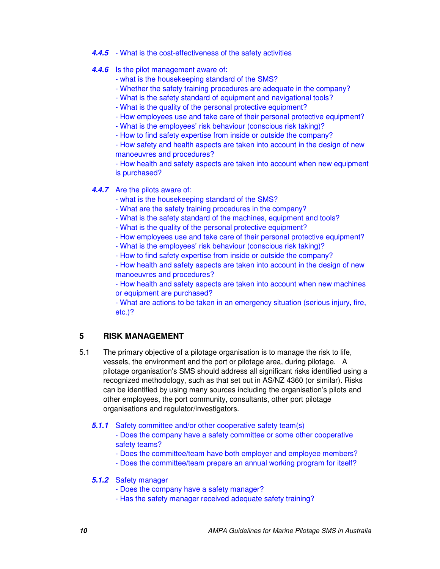- **4.4.5**  What is the cost-effectiveness of the safety activities
- **4.4.6** Is the pilot management aware of:
	- what is the housekeeping standard of the SMS?
	- Whether the safety training procedures are adequate in the company?
	- What is the safety standard of equipment and navigational tools?
	- What is the quality of the personal protective equipment?
	- How employees use and take care of their personal protective equipment?
	- What is the employees' risk behaviour (conscious risk taking)?
	- How to find safety expertise from inside or outside the company?

- How safety and health aspects are taken into account in the design of new manoeuvres and procedures?

- How health and safety aspects are taken into account when new equipment is purchased?

#### **4.4.7** Are the pilots aware of:

- what is the housekeeping standard of the SMS?
- What are the safety training procedures in the company?
- What is the safety standard of the machines, equipment and tools?
- What is the quality of the personal protective equipment?
- How employees use and take care of their personal protective equipment?
- What is the employees' risk behaviour (conscious risk taking)?
- How to find safety expertise from inside or outside the company?
- How health and safety aspects are taken into account in the design of new manoeuvres and procedures?

- How health and safety aspects are taken into account when new machines or equipment are purchased?

- What are actions to be taken in an emergency situation (serious injury, fire, etc.)?

#### **5 RISK MANAGEMENT**

5.1 The primary objective of a pilotage organisation is to manage the risk to life, vessels, the environment and the port or pilotage area, during pilotage. A pilotage organisation's SMS should address all significant risks identified using a recognized methodology, such as that set out in AS/NZ 4360 (or similar). Risks can be identified by using many sources including the organisation's pilots and other employees, the port community, consultants, other port pilotage organisations and regulator/investigators.

#### **5.1.1** Safety committee and/or other cooperative safety team(s)

- Does the company have a safety committee or some other cooperative safety teams?
- Does the committee/team have both employer and employee members?
- Does the committee/team prepare an annual working program for itself?

#### **5.1.2** Safety manager

- Does the company have a safety manager?
- Has the safety manager received adequate safety training?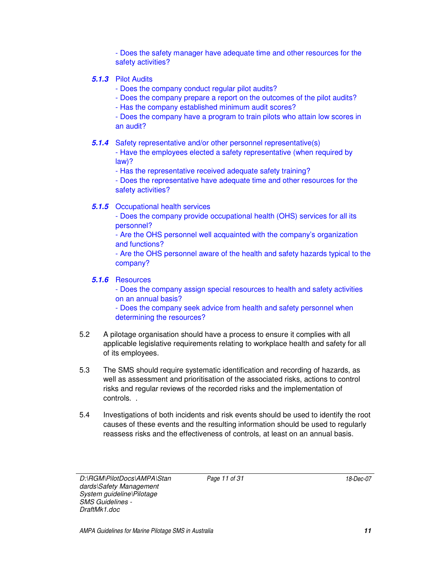- Does the safety manager have adequate time and other resources for the safety activities?

#### **5.1.3** Pilot Audits

- Does the company conduct regular pilot audits?

- Does the company prepare a report on the outcomes of the pilot audits?

- Has the company established minimum audit scores?

- Does the company have a program to train pilots who attain low scores in an audit?

**5.1.4** Safety representative and/or other personnel representative(s)

- Have the employees elected a safety representative (when required by law)?

- Has the representative received adequate safety training?

- Does the representative have adequate time and other resources for the safety activities?

**5.1.5** Occupational health services

- Does the company provide occupational health (OHS) services for all its personnel?

- Are the OHS personnel well acquainted with the company's organization and functions?

- Are the OHS personnel aware of the health and safety hazards typical to the company?

#### **5.1.6** Resources

- Does the company assign special resources to health and safety activities on an annual basis?

- Does the company seek advice from health and safety personnel when determining the resources?

- 5.2 A pilotage organisation should have a process to ensure it complies with all applicable legislative requirements relating to workplace health and safety for all of its employees.
- 5.3 The SMS should require systematic identification and recording of hazards, as well as assessment and prioritisation of the associated risks, actions to control risks and regular reviews of the recorded risks and the implementation of controls. .
- 5.4 Investigations of both incidents and risk events should be used to identify the root causes of these events and the resulting information should be used to regularly reassess risks and the effectiveness of controls, at least on an annual basis.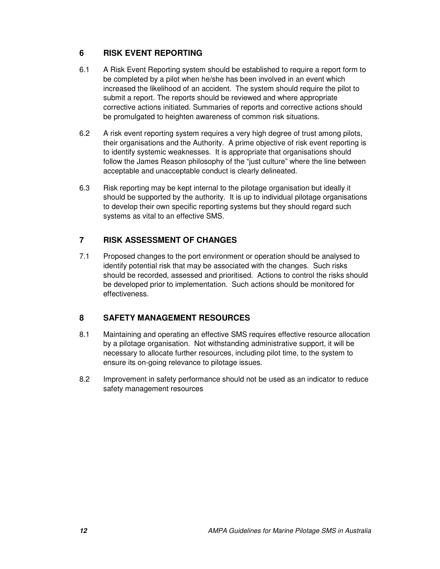#### **6 RISK EVENT REPORTING**

- 6.1 A Risk Event Reporting system should be established to require a report form to be completed by a pilot when he/she has been involved in an event which increased the likelihood of an accident. The system should require the pilot to submit a report. The reports should be reviewed and where appropriate corrective actions initiated. Summaries of reports and corrective actions should be promulgated to heighten awareness of common risk situations.
- 6.2 A risk event reporting system requires a very high degree of trust among pilots, their organisations and the Authority. A prime objective of risk event reporting is to identify systemic weaknesses. It is appropriate that organisations should follow the James Reason philosophy of the "just culture" where the line between acceptable and unacceptable conduct is clearly delineated.
- 6.3 Risk reporting may be kept internal to the pilotage organisation but ideally it should be supported by the authority. It is up to individual pilotage organisations to develop their own specific reporting systems but they should regard such systems as vital to an effective SMS.

#### **7 RISK ASSESSMENT OF CHANGES**

7.1 Proposed changes to the port environment or operation should be analysed to identify potential risk that may be associated with the changes. Such risks should be recorded, assessed and prioritised. Actions to control the risks should be developed prior to implementation. Such actions should be monitored for effectiveness.

#### **8 SAFETY MANAGEMENT RESOURCES**

- 8.1 Maintaining and operating an effective SMS requires effective resource allocation by a pilotage organisation. Not withstanding administrative support, it will be necessary to allocate further resources, including pilot time, to the system to ensure its on-going relevance to pilotage issues.
- 8.2 Improvement in safety performance should not be used as an indicator to reduce safety management resources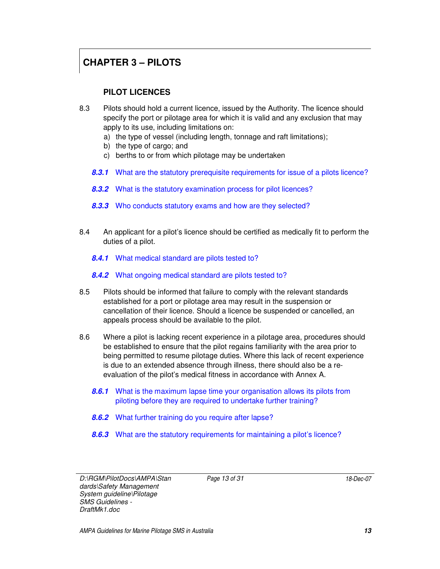### **CHAPTER 3 – PILOTS**

### **PILOT LICENCES**

- 8.3 Pilots should hold a current licence, issued by the Authority. The licence should specify the port or pilotage area for which it is valid and any exclusion that may apply to its use, including limitations on:
	- a) the type of vessel (including length, tonnage and raft limitations);
	- b) the type of cargo; and
	- c) berths to or from which pilotage may be undertaken
	- **8.3.1** What are the statutory prerequisite requirements for issue of a pilots licence?
	- **8.3.2** What is the statutory examination process for pilot licences?
	- **8.3.3** Who conducts statutory exams and how are they selected?
- 8.4 An applicant for a pilot's licence should be certified as medically fit to perform the duties of a pilot.
	- **8.4.1** What medical standard are pilots tested to?
	- **8.4.2** What ongoing medical standard are pilots tested to?
- 8.5 Pilots should be informed that failure to comply with the relevant standards established for a port or pilotage area may result in the suspension or cancellation of their licence. Should a licence be suspended or cancelled, an appeals process should be available to the pilot.
- 8.6 Where a pilot is lacking recent experience in a pilotage area, procedures should be established to ensure that the pilot regains familiarity with the area prior to being permitted to resume pilotage duties. Where this lack of recent experience is due to an extended absence through illness, there should also be a reevaluation of the pilot's medical fitness in accordance with Annex A.
	- **8.6.1** What is the maximum lapse time your organisation allows its pilots from piloting before they are required to undertake further training?
	- **8.6.2** What further training do you require after lapse?
	- **8.6.3** What are the statutory requirements for maintaining a pilot's licence?

D:\RGM\PilotDocs\AMPA\Stan dards\Safety Management System guideline\Pilotage SMS Guidelines - DraftMk1.doc

Page 13 of 31 18-Dec-07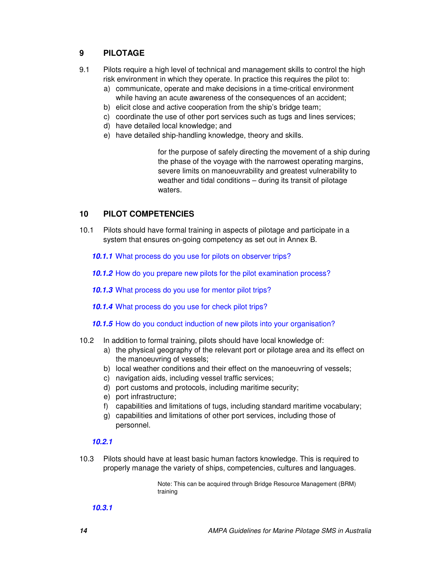#### **9 PILOTAGE**

- 9.1 Pilots require a high level of technical and management skills to control the high risk environment in which they operate. In practice this requires the pilot to:
	- a) communicate, operate and make decisions in a time-critical environment while having an acute awareness of the consequences of an accident;
	- b) elicit close and active cooperation from the ship's bridge team;
	- c) coordinate the use of other port services such as tugs and lines services;
	- d) have detailed local knowledge; and
	- e) have detailed ship-handling knowledge, theory and skills.

for the purpose of safely directing the movement of a ship during the phase of the voyage with the narrowest operating margins, severe limits on manoeuvrability and greatest vulnerability to weather and tidal conditions – during its transit of pilotage waters.

#### **10 PILOT COMPETENCIES**

10.1 Pilots should have formal training in aspects of pilotage and participate in a system that ensures on-going competency as set out in Annex B.

**10.1.1** What process do you use for pilots on observer trips?

- **10.1.2** How do you prepare new pilots for the pilot examination process?
- **10.1.3** What process do you use for mentor pilot trips?
- **10.1.4** What process do you use for check pilot trips?
- **10.1.5** How do you conduct induction of new pilots into your organisation?
- 10.2 In addition to formal training, pilots should have local knowledge of:
	- a) the physical geography of the relevant port or pilotage area and its effect on the manoeuvring of vessels;
	- b) local weather conditions and their effect on the manoeuvring of vessels;
	- c) navigation aids, including vessel traffic services;
	- d) port customs and protocols, including maritime security;
	- e) port infrastructure;
	- f) capabilities and limitations of tugs, including standard maritime vocabulary;
	- g) capabilities and limitations of other port services, including those of personnel.

#### **10.2.1**

10.3 Pilots should have at least basic human factors knowledge. This is required to properly manage the variety of ships, competencies, cultures and languages.

> Note: This can be acquired through Bridge Resource Management (BRM) training

**10.3.1**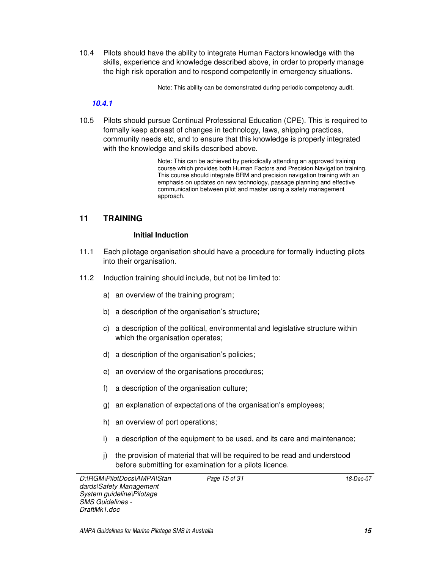10.4 Pilots should have the ability to integrate Human Factors knowledge with the skills, experience and knowledge described above, in order to properly manage the high risk operation and to respond competently in emergency situations.

Note: This ability can be demonstrated during periodic competency audit.

#### **10.4.1**

10.5 Pilots should pursue Continual Professional Education (CPE). This is required to formally keep abreast of changes in technology, laws, shipping practices, community needs etc, and to ensure that this knowledge is properly integrated with the knowledge and skills described above.

> Note: This can be achieved by periodically attending an approved training course which provides both Human Factors and Precision Navigation training. This course should integrate BRM and precision navigation training with an emphasis on updates on new technology, passage planning and effective communication between pilot and master using a safety management approach.

#### **11 TRAINING**

#### **Initial Induction**

- 11.1 Each pilotage organisation should have a procedure for formally inducting pilots into their organisation.
- 11.2 Induction training should include, but not be limited to:
	- a) an overview of the training program;
	- b) a description of the organisation's structure;
	- c) a description of the political, environmental and legislative structure within which the organisation operates;
	- d) a description of the organisation's policies;
	- e) an overview of the organisations procedures;
	- f) a description of the organisation culture;
	- g) an explanation of expectations of the organisation's employees;
	- h) an overview of port operations;
	- i) a description of the equipment to be used, and its care and maintenance;
	- j) the provision of material that will be required to be read and understood before submitting for examination for a pilots licence.

D:\RGM\PilotDocs\AMPA\Stan dards\Safety Management System guideline\Pilotage SMS Guidelines - DraftMk1.doc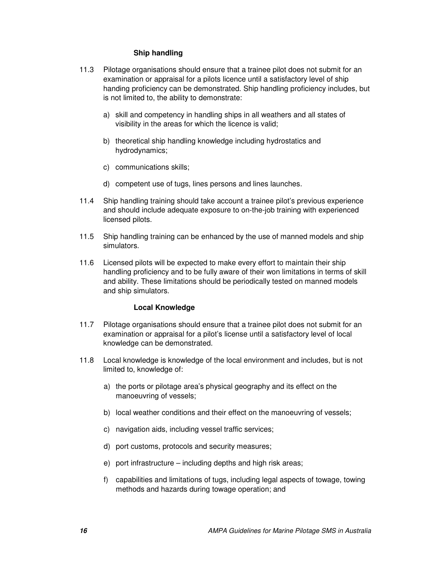#### **Ship handling**

- 11.3 Pilotage organisations should ensure that a trainee pilot does not submit for an examination or appraisal for a pilots licence until a satisfactory level of ship handing proficiency can be demonstrated. Ship handling proficiency includes, but is not limited to, the ability to demonstrate:
	- a) skill and competency in handling ships in all weathers and all states of visibility in the areas for which the licence is valid;
	- b) theoretical ship handling knowledge including hydrostatics and hydrodynamics;
	- c) communications skills;
	- d) competent use of tugs, lines persons and lines launches.
- 11.4 Ship handling training should take account a trainee pilot's previous experience and should include adequate exposure to on-the-job training with experienced licensed pilots.
- 11.5 Ship handling training can be enhanced by the use of manned models and ship simulators.
- 11.6 Licensed pilots will be expected to make every effort to maintain their ship handling proficiency and to be fully aware of their won limitations in terms of skill and ability. These limitations should be periodically tested on manned models and ship simulators.

#### **Local Knowledge**

- 11.7 Pilotage organisations should ensure that a trainee pilot does not submit for an examination or appraisal for a pilot's license until a satisfactory level of local knowledge can be demonstrated.
- 11.8 Local knowledge is knowledge of the local environment and includes, but is not limited to, knowledge of:
	- a) the ports or pilotage area's physical geography and its effect on the manoeuvring of vessels;
	- b) local weather conditions and their effect on the manoeuvring of vessels;
	- c) navigation aids, including vessel traffic services;
	- d) port customs, protocols and security measures;
	- e) port infrastructure including depths and high risk areas;
	- f) capabilities and limitations of tugs, including legal aspects of towage, towing methods and hazards during towage operation; and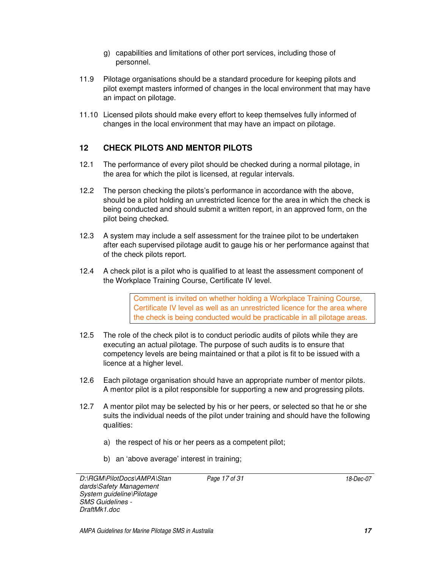- g) capabilities and limitations of other port services, including those of personnel.
- 11.9 Pilotage organisations should be a standard procedure for keeping pilots and pilot exempt masters informed of changes in the local environment that may have an impact on pilotage.
- 11.10 Licensed pilots should make every effort to keep themselves fully informed of changes in the local environment that may have an impact on pilotage.

### **12 CHECK PILOTS AND MENTOR PILOTS**

- 12.1 The performance of every pilot should be checked during a normal pilotage, in the area for which the pilot is licensed, at regular intervals.
- 12.2 The person checking the pilots's performance in accordance with the above, should be a pilot holding an unrestricted licence for the area in which the check is being conducted and should submit a written report, in an approved form, on the pilot being checked.
- 12.3 A system may include a self assessment for the trainee pilot to be undertaken after each supervised pilotage audit to gauge his or her performance against that of the check pilots report.
- 12.4 A check pilot is a pilot who is qualified to at least the assessment component of the Workplace Training Course, Certificate IV level.

Comment is invited on whether holding a Workplace Training Course, Certificate IV level as well as an unrestricted licence for the area where the check is being conducted would be practicable in all pilotage areas.

- 12.5 The role of the check pilot is to conduct periodic audits of pilots while they are executing an actual pilotage. The purpose of such audits is to ensure that competency levels are being maintained or that a pilot is fit to be issued with a licence at a higher level.
- 12.6 Each pilotage organisation should have an appropriate number of mentor pilots. A mentor pilot is a pilot responsible for supporting a new and progressing pilots.
- 12.7 A mentor pilot may be selected by his or her peers, or selected so that he or she suits the individual needs of the pilot under training and should have the following qualities:
	- a) the respect of his or her peers as a competent pilot;
	- b) an 'above average' interest in training;

D:\RGM\PilotDocs\AMPA\Stan dards\Safety Management System guideline\Pilotage SMS Guidelines - DraftMk1.doc

Page 17 of 31 18-Dec-07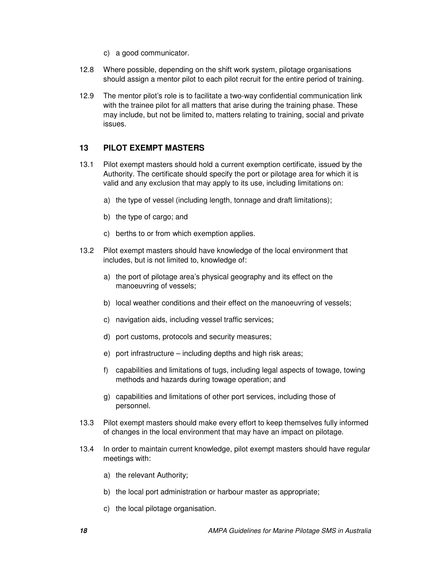- c) a good communicator.
- 12.8 Where possible, depending on the shift work system, pilotage organisations should assign a mentor pilot to each pilot recruit for the entire period of training.
- 12.9 The mentor pilot's role is to facilitate a two-way confidential communication link with the trainee pilot for all matters that arise during the training phase. These may include, but not be limited to, matters relating to training, social and private issues.

#### **13 PILOT EXEMPT MASTERS**

- 13.1 Pilot exempt masters should hold a current exemption certificate, issued by the Authority. The certificate should specify the port or pilotage area for which it is valid and any exclusion that may apply to its use, including limitations on:
	- a) the type of vessel (including length, tonnage and draft limitations);
	- b) the type of cargo; and
	- c) berths to or from which exemption applies.
- 13.2 Pilot exempt masters should have knowledge of the local environment that includes, but is not limited to, knowledge of:
	- a) the port of pilotage area's physical geography and its effect on the manoeuvring of vessels;
	- b) local weather conditions and their effect on the manoeuvring of vessels;
	- c) navigation aids, including vessel traffic services;
	- d) port customs, protocols and security measures;
	- e) port infrastructure including depths and high risk areas;
	- f) capabilities and limitations of tugs, including legal aspects of towage, towing methods and hazards during towage operation; and
	- g) capabilities and limitations of other port services, including those of personnel.
- 13.3 Pilot exempt masters should make every effort to keep themselves fully informed of changes in the local environment that may have an impact on pilotage.
- 13.4 In order to maintain current knowledge, pilot exempt masters should have regular meetings with:
	- a) the relevant Authority;
	- b) the local port administration or harbour master as appropriate;
	- c) the local pilotage organisation.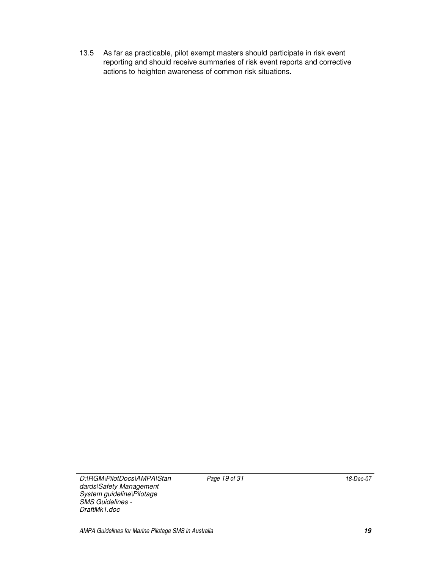13.5 As far as practicable, pilot exempt masters should participate in risk event reporting and should receive summaries of risk event reports and corrective actions to heighten awareness of common risk situations.

D:\RGM\PilotDocs\AMPA\Stan dards\Safety Management System guideline\Pilotage

SMS Guidelines - DraftMk1.doc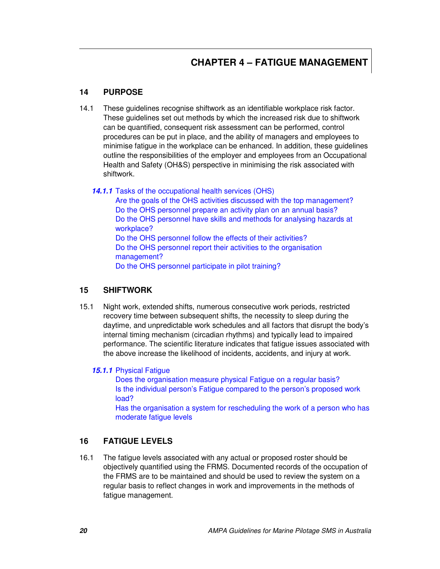### **CHAPTER 4 – FATIGUE MANAGEMENT**

#### **14 PURPOSE**

14.1 These guidelines recognise shiftwork as an identifiable workplace risk factor. These guidelines set out methods by which the increased risk due to shiftwork can be quantified, consequent risk assessment can be performed, control procedures can be put in place, and the ability of managers and employees to minimise fatigue in the workplace can be enhanced. In addition, these guidelines outline the responsibilities of the employer and employees from an Occupational Health and Safety (OH&S) perspective in minimising the risk associated with shiftwork.

**14.1.1** Tasks of the occupational health services (OHS)

Are the goals of the OHS activities discussed with the top management? Do the OHS personnel prepare an activity plan on an annual basis? Do the OHS personnel have skills and methods for analysing hazards at workplace? Do the OHS personnel follow the effects of their activities? Do the OHS personnel report their activities to the organisation management? Do the OHS personnel participate in pilot training?

#### **15 SHIFTWORK**

15.1 Night work, extended shifts, numerous consecutive work periods, restricted recovery time between subsequent shifts, the necessity to sleep during the daytime, and unpredictable work schedules and all factors that disrupt the body's internal timing mechanism (circadian rhythms) and typically lead to impaired performance. The scientific literature indicates that fatigue issues associated with the above increase the likelihood of incidents, accidents, and injury at work.

#### **15.1.1** Physical Fatigue

Does the organisation measure physical Fatigue on a regular basis? Is the individual person's Fatigue compared to the person's proposed work load?

Has the organisation a system for rescheduling the work of a person who has moderate fatigue levels

#### **16 FATIGUE LEVELS**

16.1 The fatigue levels associated with any actual or proposed roster should be objectively quantified using the FRMS. Documented records of the occupation of the FRMS are to be maintained and should be used to review the system on a regular basis to reflect changes in work and improvements in the methods of fatigue management.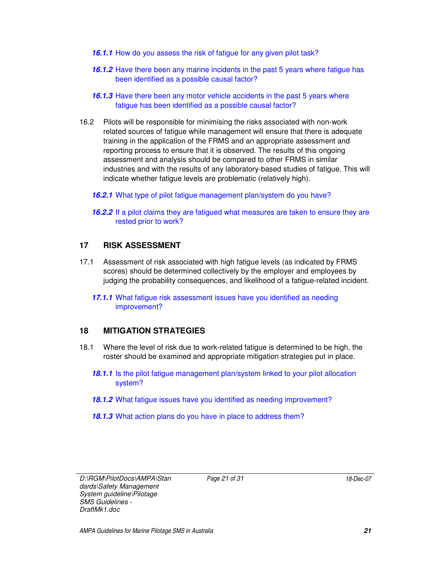- **16.1.1** How do you assess the risk of fatigue for any given pilot task?
- **16.1.2** Have there been any marine incidents in the past 5 years where fatigue has been identified as a possible causal factor?
- **16.1.3** Have there been any motor vehicle accidents in the past 5 years where fatigue has been identified as a possible causal factor?
- 16.2 Pilots will be responsible for minimising the risks associated with non-work related sources of fatigue while management will ensure that there is adequate training in the application of the FRMS and an appropriate assessment and reporting process to ensure that it is observed. The results of this ongoing assessment and analysis should be compared to other FRMS in similar industries and with the results of any laboratory-based studies of fatigue. This will indicate whether fatigue levels are problematic (relatively high).
	- **16.2.1** What type of pilot fatigue management plan/system do you have?
	- **16.2.2** If a pilot claims they are fatigued what measures are taken to ensure they are rested prior to work?

#### **17 RISK ASSESSMENT**

- 17.1 Assessment of risk associated with high fatigue levels (as indicated by FRMS scores) should be determined collectively by the employer and employees by judging the probability consequences, and likelihood of a fatigue-related incident.
	- **17.1.1** What fatigue risk assessment issues have you identified as needing improvement?

#### **18 MITIGATION STRATEGIES**

- 18.1 Where the level of risk due to work-related fatigue is determined to be high, the roster should be examined and appropriate mitigation strategies put in place.
	- **18.1.1** Is the pilot fatigue management plan/system linked to your pilot allocation system?
	- **18.1.2** What fatigue issues have you identified as needing improvement?
	- **18.1.3** What action plans do you have in place to address them?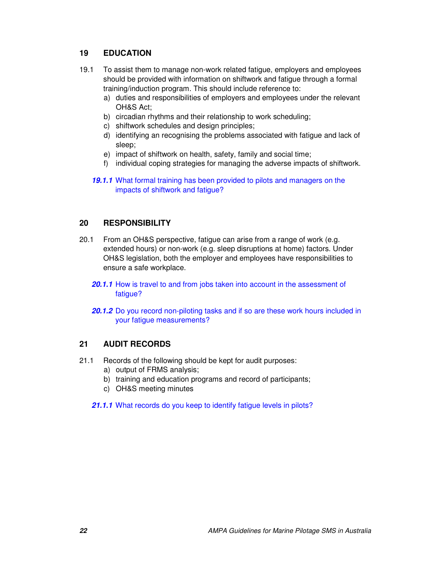#### **19 EDUCATION**

- 19.1 To assist them to manage non-work related fatigue, employers and employees should be provided with information on shiftwork and fatigue through a formal training/induction program. This should include reference to:
	- a) duties and responsibilities of employers and employees under the relevant OH&S Act;
	- b) circadian rhythms and their relationship to work scheduling;
	- c) shiftwork schedules and design principles;
	- d) identifying an recognising the problems associated with fatigue and lack of sleep;
	- e) impact of shiftwork on health, safety, family and social time;
	- f) individual coping strategies for managing the adverse impacts of shiftwork.
	- **19.1.1** What formal training has been provided to pilots and managers on the impacts of shiftwork and fatigue?

#### **20 RESPONSIBILITY**

- 20.1 From an OH&S perspective, fatigue can arise from a range of work (e.g. extended hours) or non-work (e.g. sleep disruptions at home) factors. Under OH&S legislation, both the employer and employees have responsibilities to ensure a safe workplace.
	- **20.1.1** How is travel to and from jobs taken into account in the assessment of fatique?
	- **20.1.2** Do you record non-piloting tasks and if so are these work hours included in your fatigue measurements?

#### **21 AUDIT RECORDS**

- 21.1 Records of the following should be kept for audit purposes:
	- a) output of FRMS analysis;
	- b) training and education programs and record of participants;
	- c) OH&S meeting minutes

**21.1.1** What records do you keep to identify fatigue levels in pilots?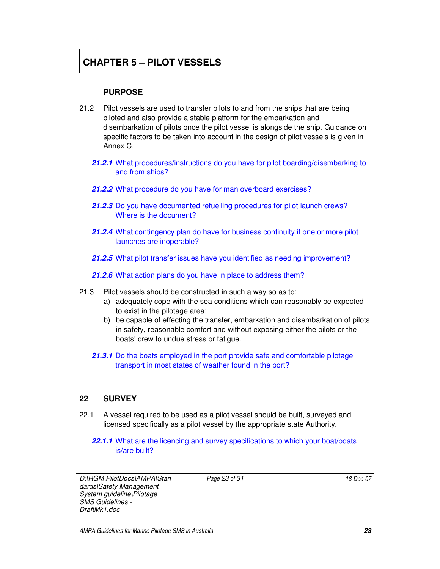### **CHAPTER 5 – PILOT VESSELS**

#### **PURPOSE**

- 21.2 Pilot vessels are used to transfer pilots to and from the ships that are being piloted and also provide a stable platform for the embarkation and disembarkation of pilots once the pilot vessel is alongside the ship. Guidance on specific factors to be taken into account in the design of pilot vessels is given in Annex C.
	- **21.2.1** What procedures/instructions do you have for pilot boarding/disembarking to and from ships?
	- **21.2.2** What procedure do you have for man overboard exercises?
	- **21.2.3** Do you have documented refuelling procedures for pilot launch crews? Where is the document?
	- **21.2.4** What contingency plan do have for business continuity if one or more pilot launches are inoperable?
	- **21.2.5** What pilot transfer issues have you identified as needing improvement?

**21.2.6** What action plans do you have in place to address them?

- 21.3 Pilot vessels should be constructed in such a way so as to:
	- a) adequately cope with the sea conditions which can reasonably be expected to exist in the pilotage area;
	- b) be capable of effecting the transfer, embarkation and disembarkation of pilots in safety, reasonable comfort and without exposing either the pilots or the boats' crew to undue stress or fatigue.
	- **21.3.1** Do the boats employed in the port provide safe and comfortable pilotage transport in most states of weather found in the port?

#### **22 SURVEY**

- 22.1 A vessel required to be used as a pilot vessel should be built, surveyed and licensed specifically as a pilot vessel by the appropriate state Authority.
	- **22.1.1** What are the licencing and survey specifications to which your boat/boats is/are built?

D:\RGM\PilotDocs\AMPA\Stan dards\Safety Management System guideline\Pilotage SMS Guidelines - DraftMk1.doc

Page 23 of 31 18-Dec-07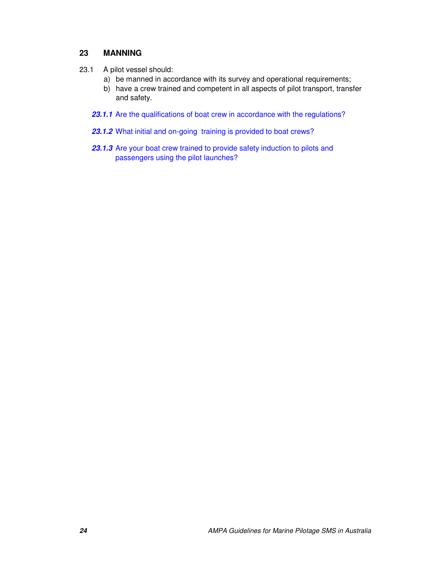#### **23 MANNING**

- 23.1 A pilot vessel should:
	- a) be manned in accordance with its survey and operational requirements;
	- b) have a crew trained and competent in all aspects of pilot transport, transfer and safety.
	- 23.1.1 Are the qualifications of boat crew in accordance with the regulations?
	- **23.1.2** What initial and on-going training is provided to boat crews?
	- **23.1.3** Are your boat crew trained to provide safety induction to pilots and passengers using the pilot launches?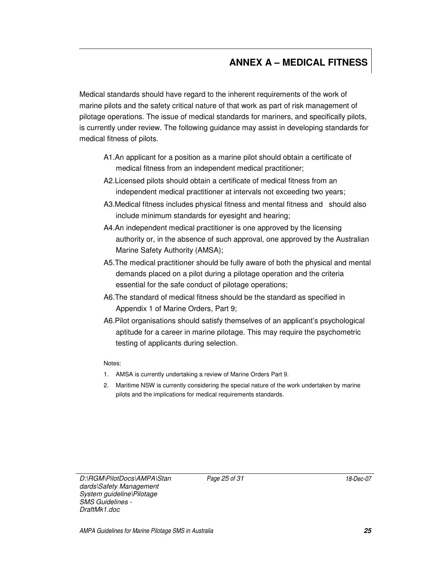### **ANNEX A – MEDICAL FITNESS**

Medical standards should have regard to the inherent requirements of the work of marine pilots and the safety critical nature of that work as part of risk management of pilotage operations. The issue of medical standards for mariners, and specifically pilots, is currently under review. The following guidance may assist in developing standards for medical fitness of pilots.

- A1.An applicant for a position as a marine pilot should obtain a certificate of medical fitness from an independent medical practitioner;
- A2.Licensed pilots should obtain a certificate of medical fitness from an independent medical practitioner at intervals not exceeding two years;
- A3.Medical fitness includes physical fitness and mental fitness and should also include minimum standards for eyesight and hearing;
- A4.An independent medical practitioner is one approved by the licensing authority or, in the absence of such approval, one approved by the Australian Marine Safety Authority (AMSA);
- A5.The medical practitioner should be fully aware of both the physical and mental demands placed on a pilot during a pilotage operation and the criteria essential for the safe conduct of pilotage operations;
- A6.The standard of medical fitness should be the standard as specified in Appendix 1 of Marine Orders, Part 9;
- A6.Pilot organisations should satisfy themselves of an applicant's psychological aptitude for a career in marine pilotage. This may require the psychometric testing of applicants during selection.

Notes:

- 1. AMSA is currently undertaking a review of Marine Orders Part 9.
- 2. Maritime NSW is currently considering the special nature of the work undertaken by marine pilots and the implications for medical requirements standards.

D:\RGM\PilotDocs\AMPA\Stan dards\Safety Management System guideline\Pilotage SMS Guidelines - DraftMk1.doc

Page 25 of 31 18-Dec-07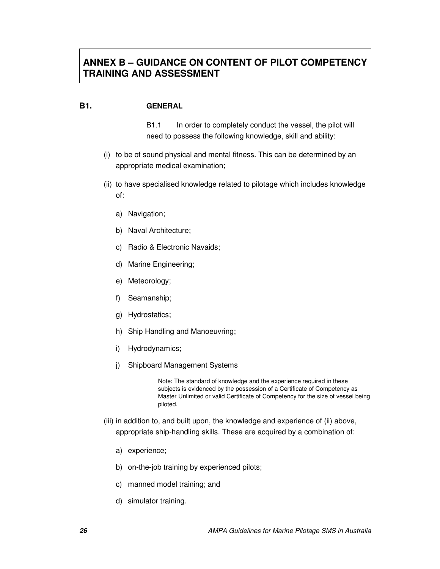### **ANNEX B – GUIDANCE ON CONTENT OF PILOT COMPETENCY TRAINING AND ASSESSMENT**

#### **B1. GENERAL**

B1.1 In order to completely conduct the vessel, the pilot will need to possess the following knowledge, skill and ability:

- (i) to be of sound physical and mental fitness. This can be determined by an appropriate medical examination;
- (ii) to have specialised knowledge related to pilotage which includes knowledge of:
	- a) Navigation;
	- b) Naval Architecture;
	- c) Radio & Electronic Navaids;
	- d) Marine Engineering;
	- e) Meteorology;
	- f) Seamanship;
	- g) Hydrostatics;
	- h) Ship Handling and Manoeuvring;
	- i) Hydrodynamics;
	- j) Shipboard Management Systems

Note: The standard of knowledge and the experience required in these subjects is evidenced by the possession of a Certificate of Competency as Master Unlimited or valid Certificate of Competency for the size of vessel being piloted.

- (iii) in addition to, and built upon, the knowledge and experience of (ii) above, appropriate ship-handling skills. These are acquired by a combination of:
	- a) experience;
	- b) on-the-job training by experienced pilots;
	- c) manned model training; and
	- d) simulator training.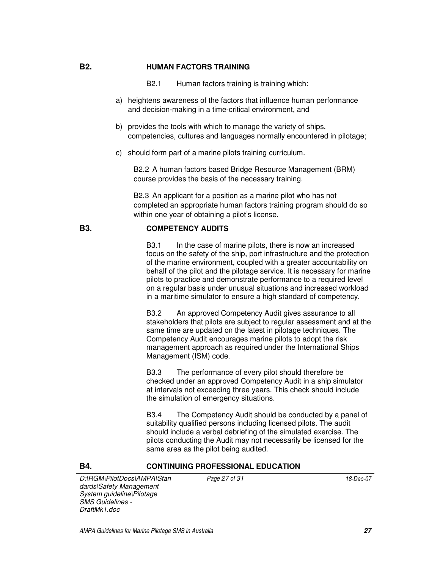#### **B2. HUMAN FACTORS TRAINING**

- B2.1 Human factors training is training which:
- a) heightens awareness of the factors that influence human performance and decision-making in a time-critical environment, and
- b) provides the tools with which to manage the variety of ships, competencies, cultures and languages normally encountered in pilotage;
- c) should form part of a marine pilots training curriculum.

B2.2 A human factors based Bridge Resource Management (BRM) course provides the basis of the necessary training.

B2.3 An applicant for a position as a marine pilot who has not completed an appropriate human factors training program should do so within one year of obtaining a pilot's license.

#### **B3. COMPETENCY AUDITS**

B3.1 In the case of marine pilots, there is now an increased focus on the safety of the ship, port infrastructure and the protection of the marine environment, coupled with a greater accountability on behalf of the pilot and the pilotage service. It is necessary for marine pilots to practice and demonstrate performance to a required level on a regular basis under unusual situations and increased workload in a maritime simulator to ensure a high standard of competency.

B3.2 An approved Competency Audit gives assurance to all stakeholders that pilots are subject to regular assessment and at the same time are updated on the latest in pilotage techniques. The Competency Audit encourages marine pilots to adopt the risk management approach as required under the International Ships Management (ISM) code.

B3.3 The performance of every pilot should therefore be checked under an approved Competency Audit in a ship simulator at intervals not exceeding three years. This check should include the simulation of emergency situations.

B3.4 The Competency Audit should be conducted by a panel of suitability qualified persons including licensed pilots. The audit should include a verbal debriefing of the simulated exercise. The pilots conducting the Audit may not necessarily be licensed for the same area as the pilot being audited.

#### **B4. CONTINUING PROFESSIONAL EDUCATION**

D:\RGM\PilotDocs\AMPA\Stan dards\Safety Management System guideline\Pilotage SMS Guidelines - DraftMk1.doc

Page 27 of 31 18-Dec-07

AMPA Guidelines for Marine Pilotage SMS in Australia **27**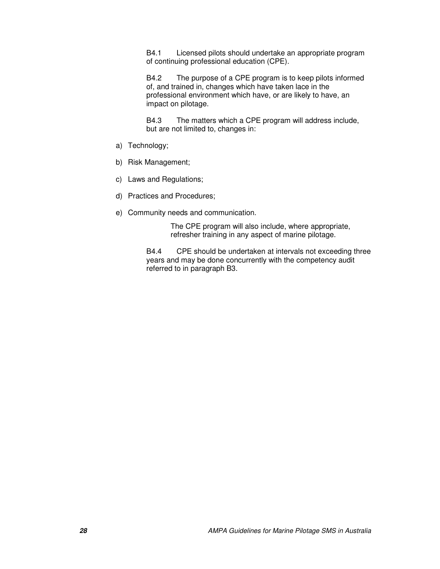B4.1 Licensed pilots should undertake an appropriate program of continuing professional education (CPE).

B4.2 The purpose of a CPE program is to keep pilots informed of, and trained in, changes which have taken lace in the professional environment which have, or are likely to have, an impact on pilotage.

B4.3 The matters which a CPE program will address include, but are not limited to, changes in:

- a) Technology;
- b) Risk Management;
- c) Laws and Regulations;
- d) Practices and Procedures;
- e) Community needs and communication.

The CPE program will also include, where appropriate, refresher training in any aspect of marine pilotage.

B4.4 CPE should be undertaken at intervals not exceeding three years and may be done concurrently with the competency audit referred to in paragraph B3.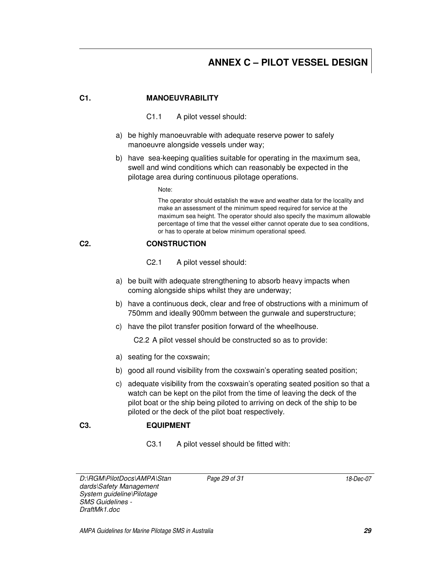### **ANNEX C – PILOT VESSEL DESIGN**

#### **C1. MANOEUVRABILITY**

- C1.1 A pilot vessel should:
- a) be highly manoeuvrable with adequate reserve power to safely manoeuvre alongside vessels under way;
- b) have sea-keeping qualities suitable for operating in the maximum sea, swell and wind conditions which can reasonably be expected in the pilotage area during continuous pilotage operations.

Note:

The operator should establish the wave and weather data for the locality and make an assessment of the minimum speed required for service at the maximum sea height. The operator should also specify the maximum allowable percentage of time that the vessel either cannot operate due to sea conditions, or has to operate at below minimum operational speed.

#### **C2. CONSTRUCTION**

- C2.1 A pilot vessel should:
- a) be built with adequate strengthening to absorb heavy impacts when coming alongside ships whilst they are underway;
- b) have a continuous deck, clear and free of obstructions with a minimum of 750mm and ideally 900mm between the gunwale and superstructure;
- c) have the pilot transfer position forward of the wheelhouse.

C2.2 A pilot vessel should be constructed so as to provide:

- a) seating for the coxswain;
- b) good all round visibility from the coxswain's operating seated position;
- c) adequate visibility from the coxswain's operating seated position so that a watch can be kept on the pilot from the time of leaving the deck of the pilot boat or the ship being piloted to arriving on deck of the ship to be piloted or the deck of the pilot boat respectively.

#### **C3. EQUIPMENT**

C3.1 A pilot vessel should be fitted with:

D:\RGM\PilotDocs\AMPA\Stan dards\Safety Management System guideline\Pilotage SMS Guidelines - DraftMk1.doc

Page 29 of 31 18-Dec-07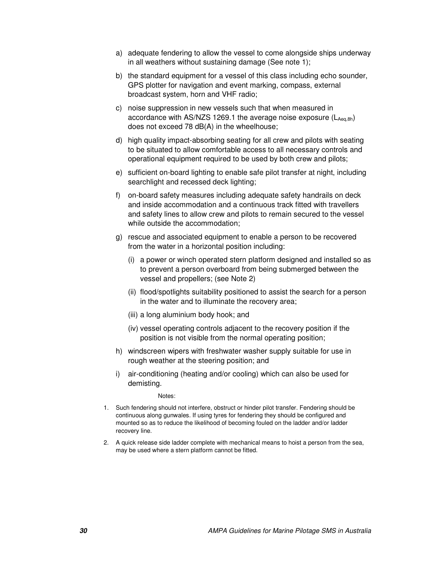- a) adequate fendering to allow the vessel to come alongside ships underway in all weathers without sustaining damage (See note 1);
- b) the standard equipment for a vessel of this class including echo sounder, GPS plotter for navigation and event marking, compass, external broadcast system, horn and VHF radio;
- c) noise suppression in new vessels such that when measured in accordance with AS/NZS 1269.1 the average noise exposure  $(L_{Aea,8h})$ does not exceed 78 dB(A) in the wheelhouse;
- d) high quality impact-absorbing seating for all crew and pilots with seating to be situated to allow comfortable access to all necessary controls and operational equipment required to be used by both crew and pilots;
- e) sufficient on-board lighting to enable safe pilot transfer at night, including searchlight and recessed deck lighting;
- f) on-board safety measures including adequate safety handrails on deck and inside accommodation and a continuous track fitted with travellers and safety lines to allow crew and pilots to remain secured to the vessel while outside the accommodation;
- g) rescue and associated equipment to enable a person to be recovered from the water in a horizontal position including:
	- (i) a power or winch operated stern platform designed and installed so as to prevent a person overboard from being submerged between the vessel and propellers; (see Note 2)
	- (ii) flood/spotlights suitability positioned to assist the search for a person in the water and to illuminate the recovery area;
	- (iii) a long aluminium body hook; and
	- (iv) vessel operating controls adjacent to the recovery position if the position is not visible from the normal operating position;
- h) windscreen wipers with freshwater washer supply suitable for use in rough weather at the steering position; and
- i) air-conditioning (heating and/or cooling) which can also be used for demisting.

Notes:

- 1. Such fendering should not interfere, obstruct or hinder pilot transfer. Fendering should be continuous along gunwales. If using tyres for fendering they should be configured and mounted so as to reduce the likelihood of becoming fouled on the ladder and/or ladder recovery line.
- 2. A quick release side ladder complete with mechanical means to hoist a person from the sea, may be used where a stern platform cannot be fitted.